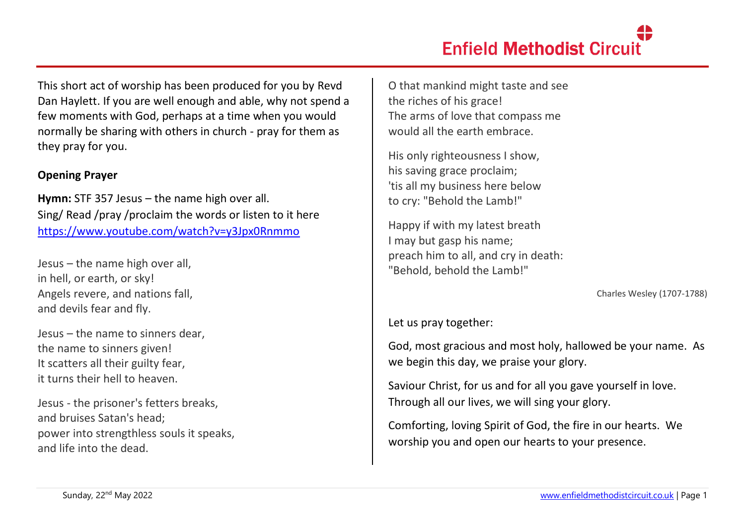This short act of worship has been produced for you by Revd Dan Haylett. If you are well enough and able, why not spend a few moments with God, perhaps at a time when you would normally be sharing with others in church - pray for them as they pray for you.

### **Opening Prayer**

**Hymn:** STF 357 Jesus – the name high over all. Sing/ Read /pray /proclaim the words or listen to it here <https://www.youtube.com/watch?v=y3Jpx0Rnmmo>

Jesus – the name high over all, in hell, or earth, or sky! Angels revere, and nations fall, and devils fear and fly.

Jesus – the name to sinners dear, the name to sinners given! It scatters all their guilty fear, it turns their hell to heaven.

Jesus - the prisoner's fetters breaks, and bruises Satan's head; power into strengthless souls it speaks, and life into the dead.

O that mankind might taste and see the riches of his grace! The arms of love that compass me would all the earth embrace.

His only righteousness I show, his saving grace proclaim; 'tis all my business here below to cry: "Behold the Lamb!"

Happy if with my latest breath I may but gasp his name; preach him to all, and cry in death: "Behold, behold the Lamb!"

Charles Wesley (1707-1788)

Let us pray together:

God, most gracious and most holy, hallowed be your name. As we begin this day, we praise your glory.

Saviour Christ, for us and for all you gave yourself in love. Through all our lives, we will sing your glory.

Comforting, loving Spirit of God, the fire in our hearts. We worship you and open our hearts to your presence.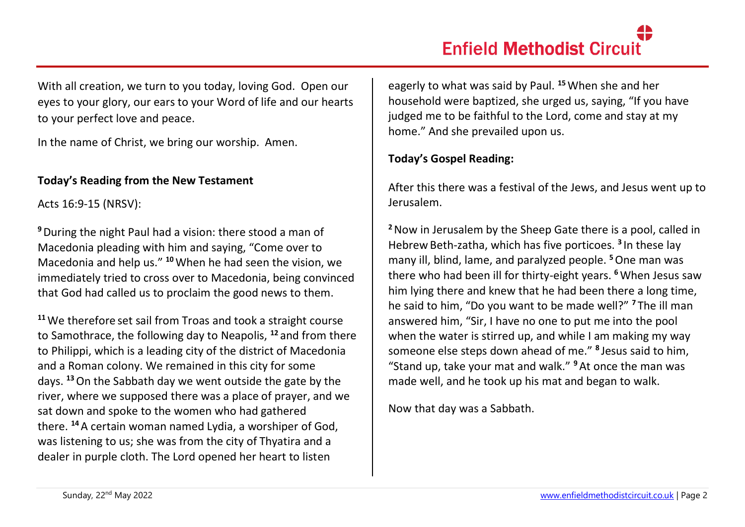With all creation, we turn to you today, loving God. Open our eyes to your glory, our ears to your Word of life and our hearts to your perfect love and peace.

In the name of Christ, we bring our worship. Amen.

#### **Today's Reading from the New Testament**

Acts 16:9-15 (NRSV):

**<sup>9</sup>**During the night Paul had a vision: there stood a man of Macedonia pleading with him and saying, "Come over to Macedonia and help us." **<sup>10</sup>**When he had seen the vision, we immediately tried to cross over to Macedonia, being convinced that God had called us to proclaim the good news to them.

**<sup>11</sup>**We therefore set sail from Troas and took a straight course to Samothrace, the following day to Neapolis, **<sup>12</sup>** and from there to Philippi, which is a leading city of the district of Macedonia and a Roman colony. We remained in this city for some days. **<sup>13</sup>**On the Sabbath day we went outside the gate by the river, where we supposed there was a place of prayer, and we sat down and spoke to the women who had gathered there. **<sup>14</sup>**A certain woman named Lydia, a worshiper of God, was listening to us; she was from the city of Thyatira and a dealer in purple cloth. The Lord opened her heart to listen

eagerly to what was said by Paul. **<sup>15</sup>**When she and her household were baptized, she urged us, saying, "If you have judged me to be faithful to the Lord, come and stay at my home." And she prevailed upon us.

#### **Today's Gospel Reading:**

After this there was a festival of the Jews, and Jesus went up to Jerusalem.

**<sup>2</sup>**Now in Jerusalem by the Sheep Gate there is a pool, called in Hebrew Beth-zatha, which has five porticoes. **<sup>3</sup>** In these lay many ill, blind, lame, and paralyzed people. **<sup>5</sup>**One man was there who had been ill for thirty-eight years. **<sup>6</sup>**When Jesus saw him lying there and knew that he had been there a long time, he said to him, "Do you want to be made well?" **<sup>7</sup>** The ill man answered him, "Sir, I have no one to put me into the pool when the water is stirred up, and while I am making my way someone else steps down ahead of me." **<sup>8</sup>** Jesus said to him, "Stand up, take your mat and walk." **<sup>9</sup>**At once the man was made well, and he took up his mat and began to walk.

Now that day was a Sabbath.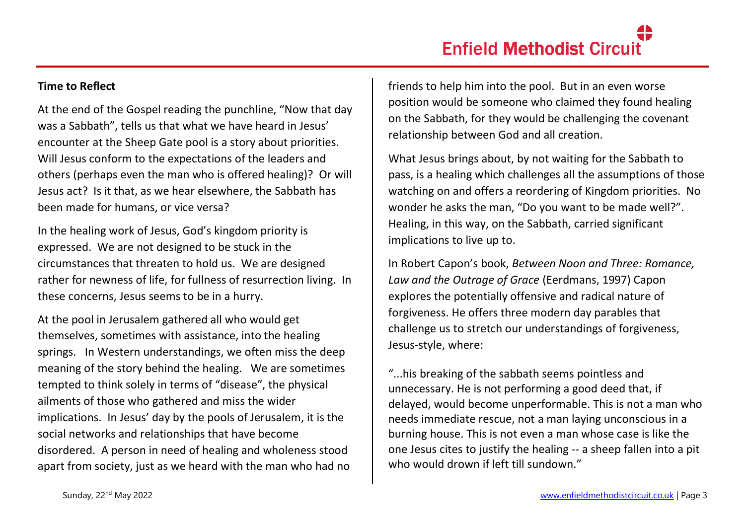#### **Time to Reflect**

At the end of the Gospel reading the punchline, "Now that day was a Sabbath", tells us that what we have heard in Jesus' encounter at the Sheep Gate pool is a story about priorities. Will Jesus conform to the expectations of the leaders and others (perhaps even the man who is offered healing)? Or will Jesus act? Is it that, as we hear elsewhere, the Sabbath has been made for humans, or vice versa?

In the healing work of Jesus, God's kingdom priority is expressed. We are not designed to be stuck in the circumstances that threaten to hold us. We are designed rather for newness of life, for fullness of resurrection living. In these concerns, Jesus seems to be in a hurry.

At the pool in Jerusalem gathered all who would get themselves, sometimes with assistance, into the healing springs. In Western understandings, we often miss the deep meaning of the story behind the healing. We are sometimes tempted to think solely in terms of "disease", the physical ailments of those who gathered and miss the wider implications. In Jesus' day by the pools of Jerusalem, it is the social networks and relationships that have become disordered. A person in need of healing and wholeness stood apart from society, just as we heard with the man who had no friends to help him into the pool. But in an even worse position would be someone who claimed they found healing on the Sabbath, for they would be challenging the covenant relationship between God and all creation.

What Jesus brings about, by not waiting for the Sabbath to pass, is a healing which challenges all the assumptions of those watching on and offers a reordering of Kingdom priorities. No wonder he asks the man, "Do you want to be made well?". Healing, in this way, on the Sabbath, carried significant implications to live up to.

In Robert Capon's book, *Between Noon and Three: Romance, Law and the Outrage of Grace* (Eerdmans, 1997) Capon explores the potentially offensive and radical nature of forgiveness. He offers three modern day parables that challenge us to stretch our understandings of forgiveness, Jesus-style, where:

"...his breaking of the sabbath seems pointless and unnecessary. He is not performing a good deed that, if delayed, would become unperformable. This is not a man who needs immediate rescue, not a man laying unconscious in a burning house. This is not even a man whose case is like the one Jesus cites to justify the healing -- a sheep fallen into a pit who would drown if left till sundown."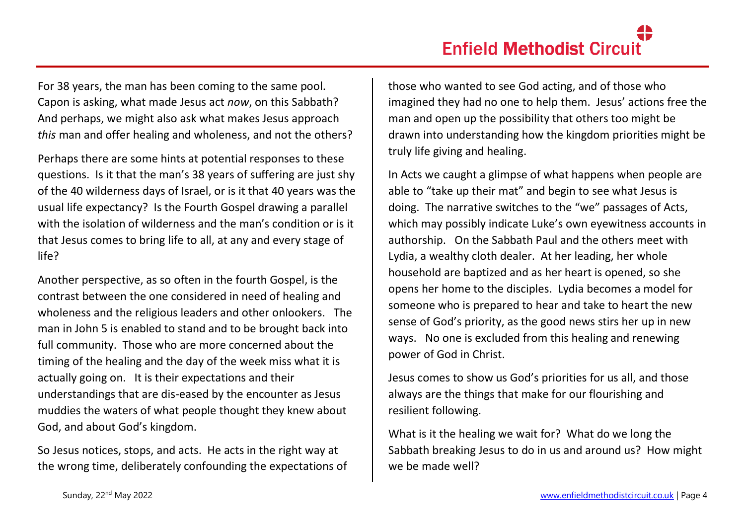For 38 years, the man has been coming to the same pool. Capon is asking, what made Jesus act *now*, on this Sabbath? And perhaps, we might also ask what makes Jesus approach *this* man and offer healing and wholeness, and not the others?

Perhaps there are some hints at potential responses to these questions. Is it that the man's 38 years of suffering are just shy of the 40 wilderness days of Israel, or is it that 40 years was the usual life expectancy? Is the Fourth Gospel drawing a parallel with the isolation of wilderness and the man's condition or is it that Jesus comes to bring life to all, at any and every stage of life?

Another perspective, as so often in the fourth Gospel, is the contrast between the one considered in need of healing and wholeness and the religious leaders and other onlookers. The man in John 5 is enabled to stand and to be brought back into full community. Those who are more concerned about the timing of the healing and the day of the week miss what it is actually going on. It is their expectations and their understandings that are dis-eased by the encounter as Jesus muddies the waters of what people thought they knew about God, and about God's kingdom.

So Jesus notices, stops, and acts. He acts in the right way at the wrong time, deliberately confounding the expectations of those who wanted to see God acting, and of those who imagined they had no one to help them. Jesus' actions free the man and open up the possibility that others too might be drawn into understanding how the kingdom priorities might be truly life giving and healing.

In Acts we caught a glimpse of what happens when people are able to "take up their mat" and begin to see what Jesus is doing. The narrative switches to the "we" passages of Acts, which may possibly indicate Luke's own eyewitness accounts in authorship. On the Sabbath Paul and the others meet with Lydia, a wealthy cloth dealer. At her leading, her whole household are baptized and as her heart is opened, so she opens her home to the disciples. Lydia becomes a model for someone who is prepared to hear and take to heart the new sense of God's priority, as the good news stirs her up in new ways. No one is excluded from this healing and renewing power of God in Christ.

Jesus comes to show us God's priorities for us all, and those always are the things that make for our flourishing and resilient following.

What is it the healing we wait for? What do we long the Sabbath breaking Jesus to do in us and around us? How might we be made well?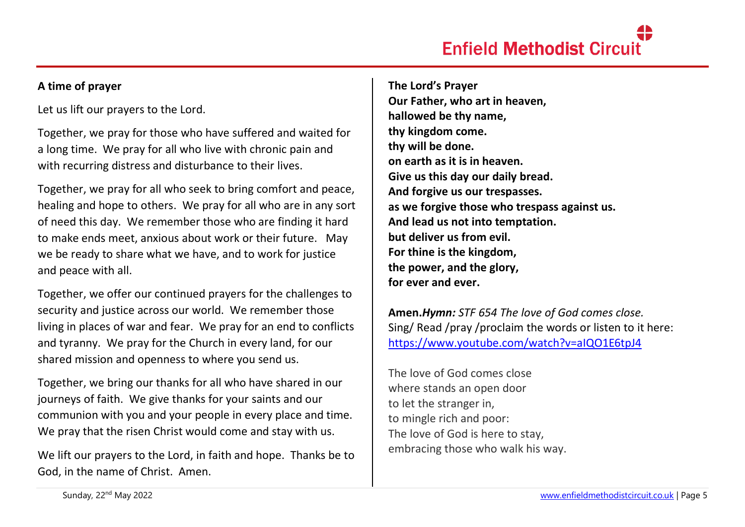#### **A time of prayer**

Let us lift our prayers to the Lord.

Together, we pray for those who have suffered and waited for a long time. We pray for all who live with chronic pain and with recurring distress and disturbance to their lives.

Together, we pray for all who seek to bring comfort and peace, healing and hope to others. We pray for all who are in any sort of need this day. We remember those who are finding it hard to make ends meet, anxious about work or their future. May we be ready to share what we have, and to work for justice and peace with all.

Together, we offer our continued prayers for the challenges to security and justice across our world. We remember those living in places of war and fear. We pray for an end to conflicts and tyranny. We pray for the Church in every land, for our shared mission and openness to where you send us.

Together, we bring our thanks for all who have shared in our journeys of faith. We give thanks for your saints and our communion with you and your people in every place and time. We pray that the risen Christ would come and stay with us.

We lift our prayers to the Lord, in faith and hope. Thanks be to God, in the name of Christ. Amen.

**The Lord's Prayer Our Father, who art in heaven, hallowed be thy name, thy kingdom come. thy will be done. on earth as it is in heaven. Give us this day our daily bread. And forgive us our trespasses. as we forgive those who trespass against us. And lead us not into temptation. but deliver us from evil. For thine is the kingdom, the power, and the glory, for ever and ever.** 

**Amen.***Hymn: STF 654 The love of God comes close.* Sing/ Read /pray /proclaim the words or listen to it here: <https://www.youtube.com/watch?v=aIQO1E6tpJ4>

The love of God comes close where stands an open door to let the stranger in, to mingle rich and poor: The love of God is here to stay, embracing those who walk his way.